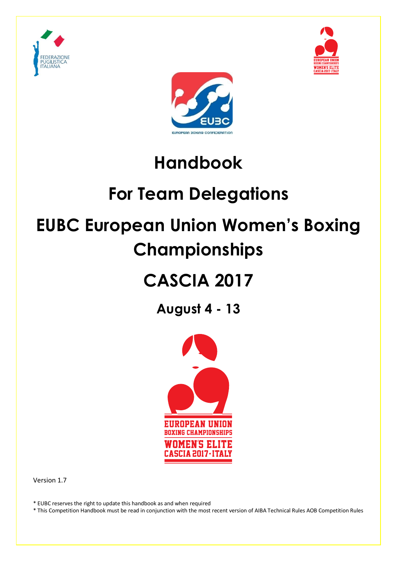





# **Handbook**

# **For Team Delegations**

# **EUBC European Union Women's Boxing Championships**

# **CASCIA 2017**

**August 4 - 13**



Version 1.7

\* EUBC reserves the right to update this handbook as and when required

\* This Competition Handbook must be read in conjunction with the most recent version of AIBA Technical Rules AOB Competition Rules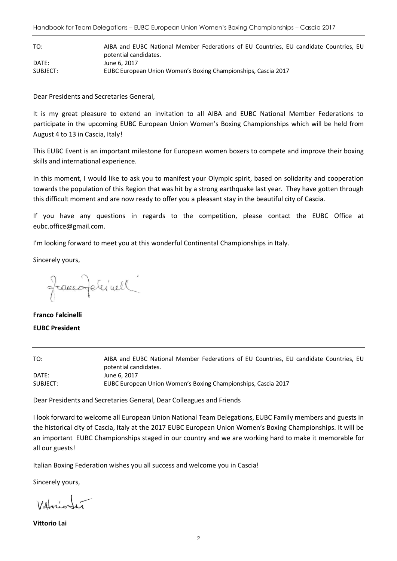| TO:      | AIBA and EUBC National Member Federations of EU Countries, EU candidate Countries, EU |
|----------|---------------------------------------------------------------------------------------|
|          | potential candidates.                                                                 |
| DATE:    | June 6, 2017                                                                          |
| SUBJECT: | EUBC European Union Women's Boxing Championships, Cascia 2017                         |

Dear Presidents and Secretaries General,

It is my great pleasure to extend an invitation to all AIBA and EUBC National Member Federations to participate in the upcoming EUBC European Union Women's Boxing Championships which will be held from August 4 to 13 in Cascia, Italy!

This EUBC Event is an important milestone for European women boxers to compete and improve their boxing skills and international experience.

In this moment, I would like to ask you to manifest your Olympic spirit, based on solidarity and cooperation towards the population of this Region that was hit by a strong earthquake last year. They have gotten through this difficult moment and are now ready to offer you a pleasant stay in the beautiful city of Cascia.

If you have any questions in regards to the competition, please contact the EUBC Office at eubc.office@gmail.com.

I'm looking forward to meet you at this wonderful Continental Championships in Italy.

Sincerely yours,

francoferinell

**Franco Falcinelli EUBC President**

TO: AIBA and EUBC National Member Federations of EU Countries, EU candidate Countries, EU potential candidates. DATE: June 6, 2017 SUBJECT: EUBC European Union Women's Boxing Championships, Cascia 2017

Dear Presidents and Secretaries General, Dear Colleagues and Friends

I look forward to welcome all European Union National Team Delegations, EUBC Family members and guests in the historical city of Cascia, Italy at the 2017 EUBC European Union Women's Boxing Championships. It will be an important EUBC Championships staged in our country and we are working hard to make it memorable for all our guests!

Italian Boxing Federation wishes you all success and welcome you in Cascia!

Sincerely yours,

 $V$ 

**Vittorio Lai**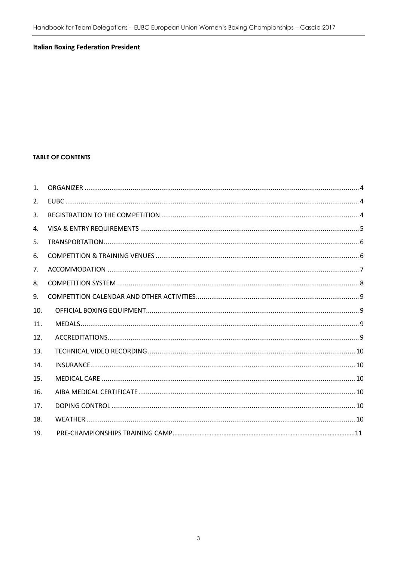#### **Italian Boxing Federation President**

#### **TABLE OF CONTENTS**

| 1 <sub>1</sub>       |  |
|----------------------|--|
| 2.                   |  |
| 3.                   |  |
| $\mathbf{A}_{\cdot}$ |  |
| 5.                   |  |
| 6.                   |  |
| 7 <sub>1</sub>       |  |
| 8.                   |  |
| 9 <sub>1</sub>       |  |
| 10.                  |  |
| 11.                  |  |
| 12.                  |  |
| 13.                  |  |
| 14.                  |  |
| 15.                  |  |
| 16.                  |  |
| 17.                  |  |
| 18.                  |  |
| 19 <sub>1</sub>      |  |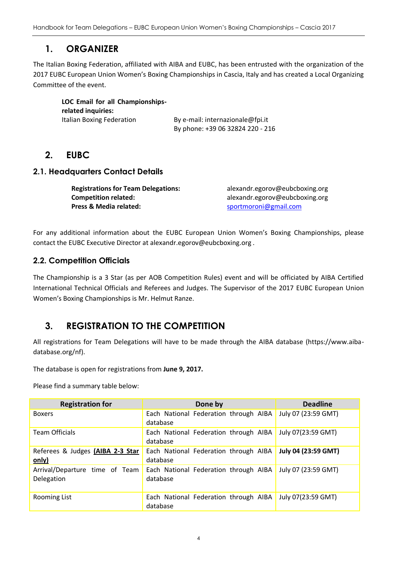# **1. ORGANIZER**

<span id="page-3-0"></span>The Italian Boxing Federation, affiliated with AIBA and EUBC, has been entrusted with the organization of the 2017 EUBC European Union Women's Boxing Championships in Cascia, Italy and has created a Local Organizing Committee of the event.

**LOC Email for all Championshipsrelated inquiries:** Italian Boxing Federation By e-mail: internazionale@fpi.it

By phone: +39 06 32824 220 - 216

# <span id="page-3-1"></span>**2. EUBC**

## **2.1. Headquarters Contact Details**

**Registrations for Team Delegations:** alexandr.egorov@eubcboxing.org **Competition related:** alexandr.egorov@eubcboxing.org **Press & Media related:** [sportmoroni@gmail.com](mailto:sportmoroni@gmail.com)

For any additional information about the EUBC European Union Women's Boxing Championships, please contact the EUBC Executive Director at alexandr.egorov@eubcboxing.org .

## **2.2. Competition Officials**

The Championship is a 3 Star (as per AOB Competition Rules) event and will be officiated by AIBA Certified International Technical Officials and Referees and Judges. The Supervisor of the 2017 EUBC European Union Women's Boxing Championships is Mr. Helmut Ranze.

# <span id="page-3-2"></span>**3. REGISTRATION TO THE COMPETITION**

All registrations for Team Delegations will have to be made through the AIBA database (https://www.aibadatabase.org/nf).

The database is open for registrations from **June 9, 2017.**

Please find a summary table below:

| <b>Registration for</b>                      | Done by                                           | <b>Deadline</b>     |
|----------------------------------------------|---------------------------------------------------|---------------------|
| <b>Boxers</b>                                | Each National Federation through AIBA<br>database | July 07 (23:59 GMT) |
| <b>Team Officials</b>                        | Each National Federation through AIBA<br>database | July 07(23:59 GMT)  |
| Referees & Judges (AIBA 2-3 Star<br>only)    | Each National Federation through AIBA<br>database | July 04 (23:59 GMT) |
| Arrival/Departure time of Team<br>Delegation | Each National Federation through AIBA<br>database | July 07 (23:59 GMT) |
| <b>Rooming List</b>                          | Each National Federation through AIBA<br>database | July 07(23:59 GMT)  |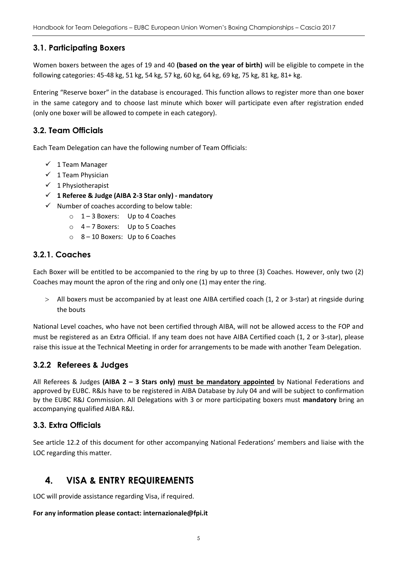## **3.1. Participating Boxers**

Women boxers between the ages of 19 and 40 **(based on the year of birth)** will be eligible to compete in the following categories: 45-48 kg, 51 kg, 54 kg, 57 kg, 60 kg, 64 kg, 69 kg, 75 kg, 81 kg, 81+ kg.

Entering "Reserve boxer" in the database is encouraged. This function allows to register more than one boxer in the same category and to choose last minute which boxer will participate even after registration ended (only one boxer will be allowed to compete in each category).

## **3.2. Team Officials**

Each Team Delegation can have the following number of Team Officials:

- $\checkmark$  1 Team Manager
- $\checkmark$  1 Team Physician
- $\checkmark$  1 Physiotherapist
- **1 Referee & Judge (AIBA 2-3 Star only) - mandatory**
- $\checkmark$  Number of coaches according to below table:
	- o 1 3 Boxers: Up to 4 Coaches
	- o 4 7 Boxers: Up to 5 Coaches
	- o 8 10 Boxers: Up to 6 Coaches

#### **3.2.1. Coaches**

Each Boxer will be entitled to be accompanied to the ring by up to three (3) Coaches. However, only two (2) Coaches may mount the apron of the ring and only one (1) may enter the ring.

 All boxers must be accompanied by at least one AIBA certified coach (1, 2 or 3-star) at ringside during the bouts

National Level coaches, who have not been certified through AIBA, will not be allowed access to the FOP and must be registered as an Extra Official. If any team does not have AIBA Certified coach (1, 2 or 3-star), please raise this issue at the Technical Meeting in order for arrangements to be made with another Team Delegation.

## **3.2.2 Referees & Judges**

All Referees & Judges **(AIBA 2 – 3 Stars only) must be mandatory appointed** by National Federations and approved by EUBC. R&Js have to be registered in AIBA Database by July 04 and will be subject to confirmation by the EUBC R&J Commission. All Delegations with 3 or more participating boxers must **mandatory** bring an accompanying qualified AIBA R&J.

## **3.3. Extra Officials**

See article 12.2 of this document for other accompanying National Federations' members and liaise with the LOC regarding this matter.

# <span id="page-4-0"></span>**4. VISA & ENTRY REQUIREMENTS**

LOC will provide assistance regarding Visa, if required.

#### **For any information please contact: internazionale@fpi.it**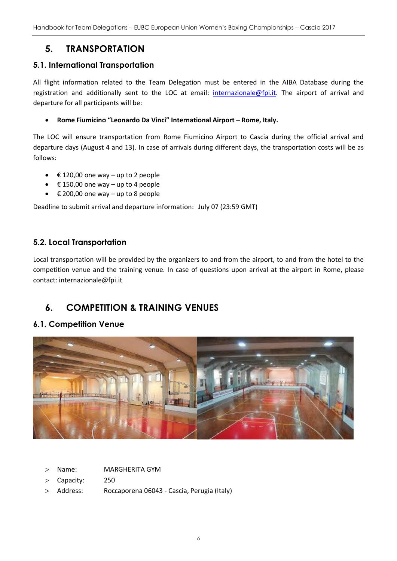# **5. TRANSPORTATION**

## <span id="page-5-0"></span>**5.1. International Transportation**

All flight information related to the Team Delegation must be entered in the AIBA Database during the registration and additionally sent to the LOC at email: [internazionale@fpi.it.](mailto:internazionale@fpi.it) The airport of arrival and departure for all participants will be:

#### **Rome Fiumicino "Leonardo Da Vinci" International Airport – Rome, Italy.**

The LOC will ensure transportation from Rome Fiumicino Airport to Cascia during the official arrival and departure days (August 4 and 13). In case of arrivals during different days, the transportation costs will be as follows:

- $€ 120,00$  one way up to 2 people
- $€ 150,00$  one way up to 4 people
- € 200,00 one way up to 8 people

Deadline to submit arrival and departure information: July 07 (23:59 GMT)

## **5.2. Local Transportation**

Local transportation will be provided by the organizers to and from the airport, to and from the hotel to the competition venue and the training venue. In case of questions upon arrival at the airport in Rome, please contact: internazionale@fpi.it

# <span id="page-5-1"></span>**6. COMPETITION & TRAINING VENUES**

## **6.1. Competition Venue**



- Name: MARGHERITA GYM
- Capacity: 250
- Address: Roccaporena 06043 Cascia, Perugia (Italy)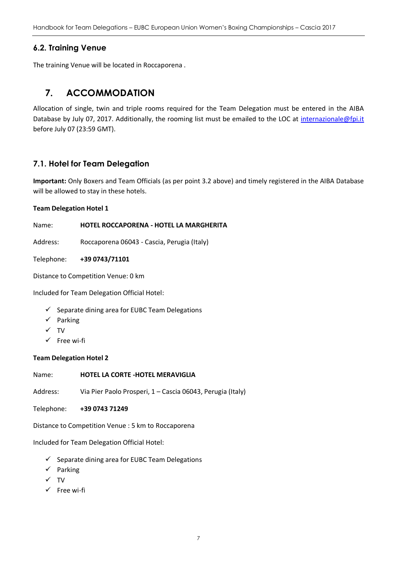Handbook for Team Delegations – EUBC European Union Women's Boxing Championships – Cascia 2017

### **6.2. Training Venue**

The training Venue will be located in Roccaporena .

# <span id="page-6-0"></span>**7. ACCOMMODATION**

Allocation of single, twin and triple rooms required for the Team Delegation must be entered in the AIBA Database by July 07, 2017. Additionally, the rooming list must be emailed to the LOC at [internazionale@fpi.it](mailto:internazionale@fpi.it) before July 07 (23:59 GMT).

### **7.1. Hotel for Team Delegation**

**Important:** Only Boxers and Team Officials (as per point 3.2 above) and timely registered in the AIBA Database will be allowed to stay in these hotels.

#### **Team Delegation Hotel 1**

Name: **HOTEL ROCCAPORENA - HOTEL LA MARGHERITA**

Address: Roccaporena 06043 - Cascia, Perugia (Italy)

Telephone: **+39 0743/71101**

Distance to Competition Venue: 0 km

Included for Team Delegation Official Hotel:

- $\checkmark$  Separate dining area for EUBC Team Delegations
- $\checkmark$  Parking
- $\checkmark$  TV
- $\checkmark$  Free wi-fi

#### **Team Delegation Hotel 2**

Name: **HOTEL LA CORTE -HOTEL MERAVIGLIA**

Address: Via Pier Paolo Prosperi, 1 – Cascia 06043, Perugia (Italy)

Telephone: **+39 0743 71249**

Distance to Competition Venue : 5 km to Roccaporena

Included for Team Delegation Official Hotel:

- $\checkmark$  Separate dining area for EUBC Team Delegations
- $\checkmark$  Parking
- $\checkmark$  TV
- $\checkmark$  Free wi-fi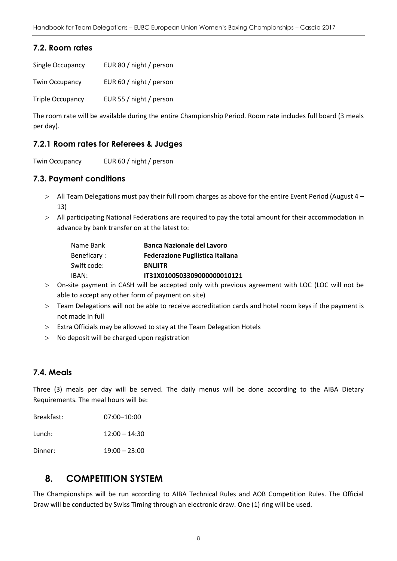## **7.2. Room rates**

| Single Occupancy        | EUR 80 / night / person |
|-------------------------|-------------------------|
| <b>Twin Occupancy</b>   | EUR 60 / night / person |
| <b>Triple Occupancy</b> | EUR 55 / night / person |

The room rate will be available during the entire Championship Period. Room rate includes full board (3 meals per day).

#### **7.2.1 Room rates for Referees & Judges**

Twin Occupancy EUR 60 / night / person

#### **7.3. Payment conditions**

- All Team Delegations must pay their full room charges as above for the entire Event Period (August 4 13)
- All participating National Federations are required to pay the total amount for their accommodation in advance by bank transfer on at the latest to:

| Name Bank   | <b>Banca Nazionale del Lavoro</b>       |
|-------------|-----------------------------------------|
| Beneficary: | <b>Federazione Pugilistica Italiana</b> |
| Swift code: | <b>BNLIITR</b>                          |
| IBAN:       | IT31X01005033090000000010121            |

- On-site payment in CASH will be accepted only with previous agreement with LOC (LOC will not be able to accept any other form of payment on site)
- Team Delegations will not be able to receive accreditation cards and hotel room keys if the payment is not made in full
- $>$  Extra Officials may be allowed to stay at the Team Delegation Hotels
- No deposit will be charged upon registration

#### **7.4. Meals**

Three (3) meals per day will be served. The daily menus will be done according to the AIBA Dietary Requirements. The meal hours will be:

Breakfast: 07:00–10:00

Lunch: 12:00 – 14:30

<span id="page-7-0"></span>Dinner: 19:00 – 23:00

## **8. COMPETITION SYSTEM**

The Championships will be run according to AIBA Technical Rules and AOB Competition Rules. The Official Draw will be conducted by Swiss Timing through an electronic draw. One (1) ring will be used.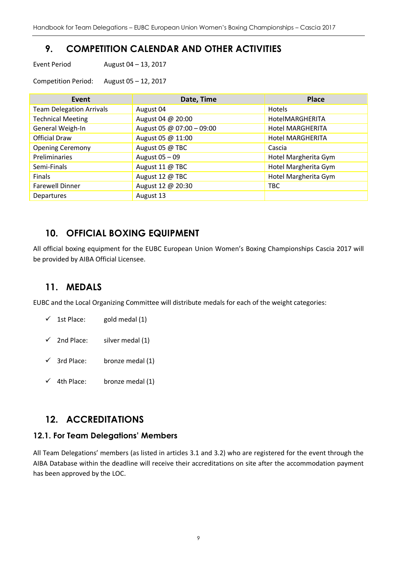# **9. COMPETITION CALENDAR AND OTHER ACTIVITIES**

<span id="page-8-0"></span>Event Period August 04 – 13, 2017

Competition Period: August 05 – 12, 2017

| Event                           | Date, Time                | <b>Place</b>            |
|---------------------------------|---------------------------|-------------------------|
| <b>Team Delegation Arrivals</b> | August 04                 | Hotels                  |
| <b>Technical Meeting</b>        | August 04 @ 20:00         | HotelMARGHERITA         |
| General Weigh-In                | August 05 @ 07:00 - 09:00 | <b>Hotel MARGHERITA</b> |
| <b>Official Draw</b>            | August 05 @ 11:00         | <b>Hotel MARGHERITA</b> |
| <b>Opening Ceremony</b>         | August 05 @ TBC           | Cascia                  |
| Preliminaries                   | August 05 - 09            | Hotel Margherita Gym    |
| Semi-Finals                     | August 11 @ TBC           | Hotel Margherita Gym    |
| Finals                          | August 12 @ TBC           | Hotel Margherita Gym    |
| <b>Farewell Dinner</b>          | August 12 @ 20:30         | <b>TBC</b>              |
| Departures                      | August 13                 |                         |

# <span id="page-8-1"></span>**10. OFFICIAL BOXING EQUIPMENT**

All official boxing equipment for the EUBC European Union Women's Boxing Championships Cascia 2017 will be provided by AIBA Official Licensee.

## <span id="page-8-2"></span>**11. MEDALS**

EUBC and the Local Organizing Committee will distribute medals for each of the weight categories:

- $\checkmark$  1st Place: gold medal (1)
- $\checkmark$  2nd Place: silver medal (1)
- $\checkmark$  3rd Place: bronze medal (1)
- $\checkmark$  4th Place: bronze medal (1)

# <span id="page-8-3"></span>**12. ACCREDITATIONS**

#### **12.1. For Team Delegations' Members**

All Team Delegations' members (as listed in articles 3.1 and 3.2) who are registered for the event through the AIBA Database within the deadline will receive their accreditations on site after the accommodation payment has been approved by the LOC.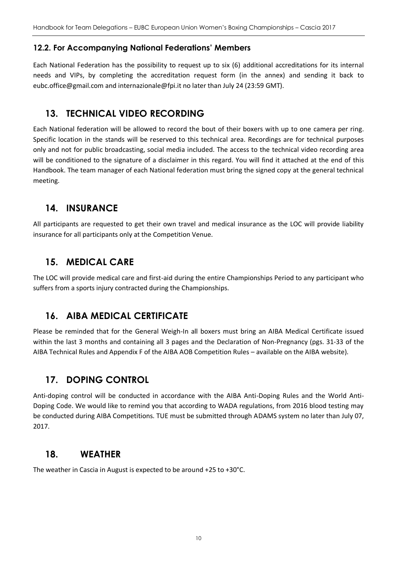## **12.2. For Accompanying National Federations' Members**

Each National Federation has the possibility to request up to six (6) additional accreditations for its internal needs and VIPs, by completing the accreditation request form (in the annex) and sending it back to eubc.office@gmail.com and [internazionale@fpi.it](mailto:and%20internazionale@fpi.it) no later than July 24 (23:59 GMT).

# <span id="page-9-0"></span>**13. TECHNICAL VIDEO RECORDING**

Each National federation will be allowed to record the bout of their boxers with up to one camera per ring. Specific location in the stands will be reserved to this technical area. Recordings are for technical purposes only and not for public broadcasting, social media included. The access to the technical video recording area will be conditioned to the signature of a disclaimer in this regard. You will find it attached at the end of this Handbook. The team manager of each National federation must bring the signed copy at the general technical meeting.

## <span id="page-9-1"></span>**14. INSURANCE**

All participants are requested to get their own travel and medical insurance as the LOC will provide liability insurance for all participants only at the Competition Venue.

# <span id="page-9-2"></span>**15. MEDICAL CARE**

The LOC will provide medical care and first-aid during the entire Championships Period to any participant who suffers from a sports injury contracted during the Championships.

# <span id="page-9-3"></span>**16. AIBA MEDICAL CERTIFICATE**

Please be reminded that for the General Weigh-In all boxers must bring an AIBA Medical Certificate issued within the last 3 months and containing all 3 pages and the Declaration of Non-Pregnancy (pgs. 31-33 of the AIBA Technical Rules and Appendix F of the AIBA AOB Competition Rules – available on the AIBA website).

# <span id="page-9-4"></span>**17. DOPING CONTROL**

Anti-doping control will be conducted in accordance with the AIBA Anti-Doping Rules and the World Anti-Doping Code. We would like to remind you that according to WADA regulations, from 2016 blood testing may be conducted during AIBA Competitions. TUE must be submitted through ADAMS system no later than July 07, 2017.

## <span id="page-9-5"></span>**18. WEATHER**

The weather in Cascia in August is expected to be around +25 to +30°C.